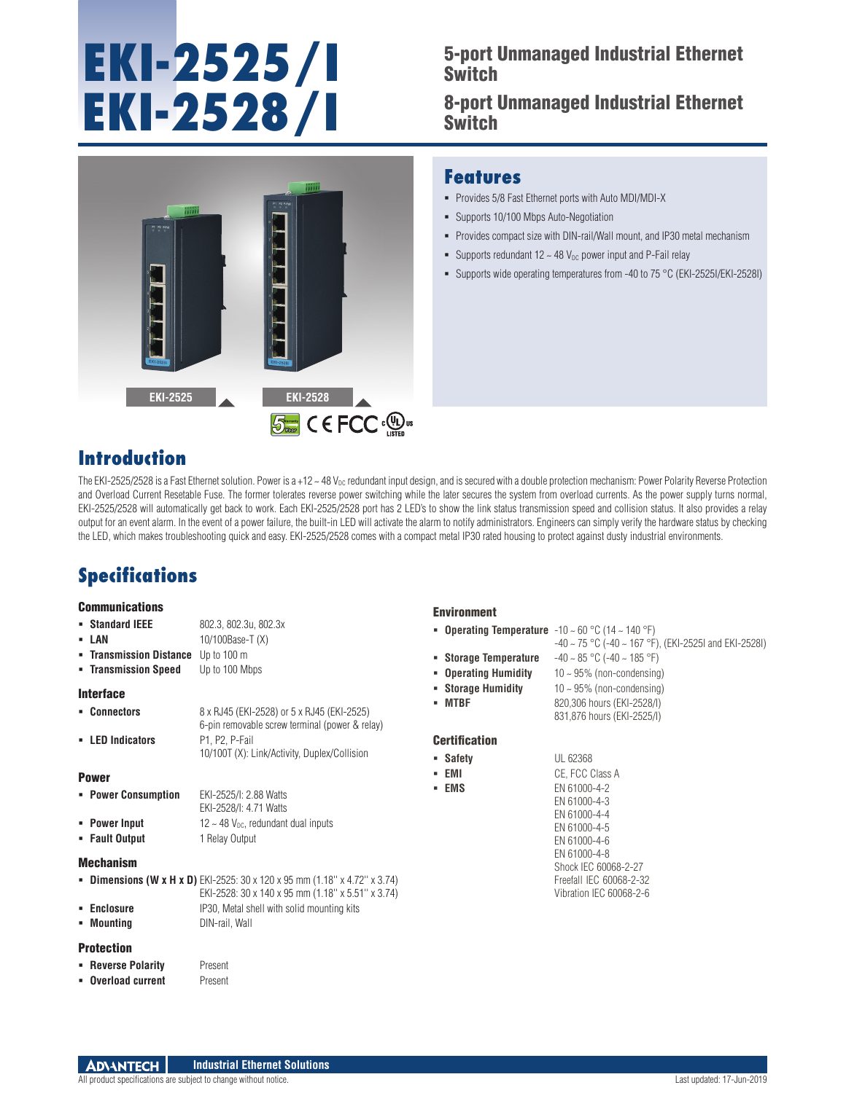# **EKI-2525/I EKI-2528/I**

## 5-port Unmanaged Industrial Ethernet Switch

8-port Unmanaged Industrial Ethernet Switch



### **Features**

- Provides 5/8 Fast Ethernet ports with Auto MDI/MDI-X
- Supports 10/100 Mbps Auto-Negotiation
- Provides compact size with DIN-rail/Wall mount, and IP30 metal mechanism
- Supports redundant  $12 \sim 48$  V<sub>DC</sub> power input and P-Fail relay
- Supports wide operating temperatures from -40 to 75 °C (EKI-2525I/EKI-2528I)

## **Introduction**

The EKI-2525/2528 is a Fast Ethernet solution. Power is a +12 ~ 48  $V_{DC}$  redundant input design, and is secured with a double protection mechanism: Power Polarity Reverse Protection and Overload Current Resetable Fuse. The former tolerates reverse power switching while the later secures the system from overload currents. As the power supply turns normal, EKI-2525/2528 will automatically get back to work. Each EKI-2525/2528 port has 2 LED's to show the link status transmission speed and collision status. It also provides a relay output for an event alarm. In the event of a power failure, the built-in LED will activate the alarm to notify administrators. Engineers can simply verify the hardware status by checking the LED, which makes troubleshooting quick and easy. EKI-2525/2528 comes with a compact metal IP30 rated housing to protect against dusty industrial environments.

## **Specifications**

#### **Communications**

- **Standard IEEE** 802.3, 802.3u, 802.3x
- 
- **LAN 10/100Base-T (X)**
- **Transmission Distance** Up to 100 m **Transmission Speed** Up to 100 Mbps

#### Interface

 **Connectors** 8 x RJ45 (EKI-2528) or 5 x RJ45 (EKI-2525) 6-pin removable screw terminal (power & relay) **LED Indicators** P1, P2, P-Fail 10/100T (X): Link/Activity, Duplex/Collision

#### Power

| • Power Consumption | EKI-2525/I: 2.88 Watts<br>EKI-2528/I: 4.71 Watts     |
|---------------------|------------------------------------------------------|
| • Power Input       | $12 \sim 48$ V <sub>pc</sub> , redundant dual inputs |
| • Fault Output      | 1 Relay Output                                       |

#### Mechanism

- **Dimensions (W x H x D)** EKI-2525: 30 x 120 x 95 mm (1.18" x 4.72" x 3.74) EKI-2528: 30 x 140 x 95 mm (1.18'' x 5.51'' x 3.74)
- **Enclosure** IP30, Metal shell with solid mounting kits

## **Mounting Billion** DIN-rail, Wall

#### Protection

**Reverse Polarity** Present **Dverload current** Present

#### Environment

- **Operating Temperature**  $-10 \sim 60 \degree C$  (14  $\sim 140 \degree F$ ) -40 ~ 75 °C (-40 ~ 167 °F), (EKI-2525I and EKI-2528I)
- **Storage Temperature** -40 ~ 85 °C (-40 ~ 185 °F)
- **Operating Humidity** 10 ~ 95% (non-condensing)
- **Storage Humidity** 10~95% (non-condensing)
- 
- **MTBF** 820,306 hours (EKI-2528/I) 831,876 hours (EKI-2525/I)

#### **Certification**

 **Safety** UL 62368 **EMI CE, FCC Class A EMS** EN 61000-4-2 EN 61000-4-3 EN 61000-4-4 EN 61000-4-5 EN 61000-4-6 EN 61000-4-8 Shock IEC 60068-2-27 Freefall IEC 60068-2-32 Vibration IEC 60068-2-6